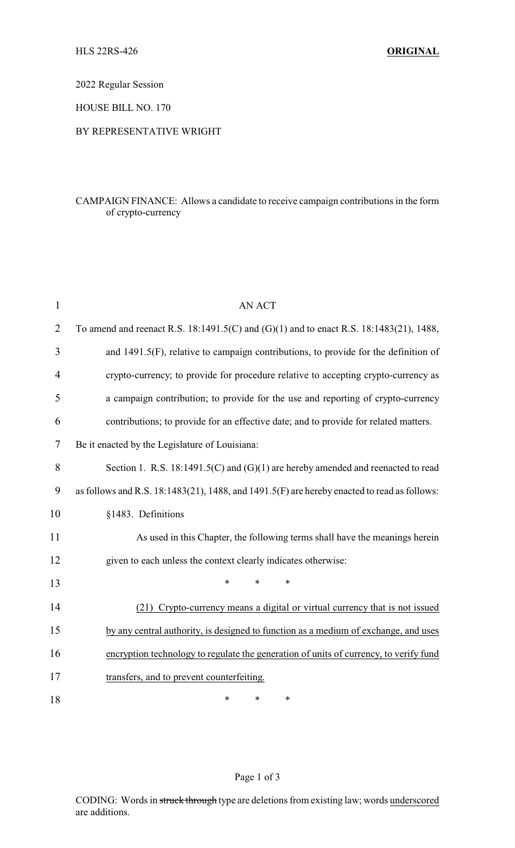2022 Regular Session

HOUSE BILL NO. 170

## BY REPRESENTATIVE WRIGHT

## CAMPAIGN FINANCE: Allows a candidate to receive campaign contributions in the form of crypto-currency

| $\mathbf{1}$   | <b>AN ACT</b>                                                                               |
|----------------|---------------------------------------------------------------------------------------------|
| 2              | To amend and reenact R.S. 18:1491.5(C) and (G)(1) and to enact R.S. 18:1483(21), 1488,      |
| 3              | and 1491.5(F), relative to campaign contributions, to provide for the definition of         |
| $\overline{4}$ | crypto-currency; to provide for procedure relative to accepting crypto-currency as          |
| 5              | a campaign contribution; to provide for the use and reporting of crypto-currency            |
| 6              | contributions; to provide for an effective date; and to provide for related matters.        |
| 7              | Be it enacted by the Legislature of Louisiana:                                              |
| 8              | Section 1. R.S. $18:1491.5(C)$ and $(G)(1)$ are hereby amended and reenacted to read        |
| 9              | as follows and R.S. 18:1483(21), 1488, and 1491.5(F) are hereby enacted to read as follows: |
| 10             | §1483. Definitions                                                                          |
| 11             | As used in this Chapter, the following terms shall have the meanings herein                 |
| 12             | given to each unless the context clearly indicates otherwise:                               |
| 13             | $\ast$<br>$\ast$<br>$\ast$                                                                  |
| 14             | (21) Crypto-currency means a digital or virtual currency that is not issued                 |
| 15             | by any central authority, is designed to function as a medium of exchange, and uses         |
| 16             | encryption technology to regulate the generation of units of currency, to verify fund       |
| 17             | transfers, and to prevent counterfeiting.                                                   |
| 18             | *<br>*<br>∗                                                                                 |

## Page 1 of 3

CODING: Words in struck through type are deletions from existing law; words underscored are additions.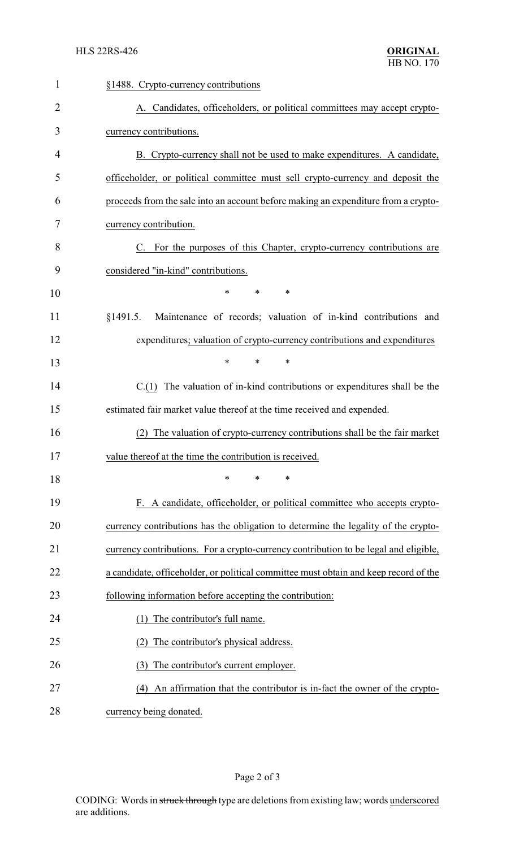| 1              | §1488. Crypto-currency contributions                                                 |  |  |
|----------------|--------------------------------------------------------------------------------------|--|--|
| $\overline{2}$ | A. Candidates, officeholders, or political committees may accept crypto-             |  |  |
| 3              | currency contributions.                                                              |  |  |
| 4              | B. Crypto-currency shall not be used to make expenditures. A candidate,              |  |  |
| 5              | officeholder, or political committee must sell crypto-currency and deposit the       |  |  |
| 6              | proceeds from the sale into an account before making an expenditure from a crypto-   |  |  |
| 7              | currency contribution.                                                               |  |  |
| 8              | C. For the purposes of this Chapter, crypto-currency contributions are               |  |  |
| 9              | considered "in-kind" contributions.                                                  |  |  |
| 10             | $\ast$<br>$\ast$<br>$\ast$                                                           |  |  |
| 11             | Maintenance of records; valuation of in-kind contributions and<br>§1491.5.           |  |  |
| 12             | expenditures; valuation of crypto-currency contributions and expenditures            |  |  |
| 13             | $\ast$<br>$\ast$<br>$\ast$                                                           |  |  |
| 14             | $C(1)$ The valuation of in-kind contributions or expenditures shall be the           |  |  |
| 15             | estimated fair market value thereof at the time received and expended.               |  |  |
| 16             | The valuation of crypto-currency contributions shall be the fair market<br>(2)       |  |  |
| 17             | value thereof at the time the contribution is received.                              |  |  |
| 18             | $\ast$<br>*<br>*                                                                     |  |  |
| 19             | F. A candidate, officeholder, or political committee who accepts crypto-             |  |  |
| 20             | currency contributions has the obligation to determine the legality of the crypto-   |  |  |
| 21             | currency contributions. For a crypto-currency contribution to be legal and eligible, |  |  |
| 22             | a candidate, officeholder, or political committee must obtain and keep record of the |  |  |
| 23             | following information before accepting the contribution:                             |  |  |
| 24             | The contributor's full name.                                                         |  |  |
| 25             | The contributor's physical address.                                                  |  |  |
| 26             | The contributor's current employer.<br>(3)                                           |  |  |
| 27             | An affirmation that the contributor is in-fact the owner of the crypto-<br>(4)       |  |  |
| 28             | currency being donated.                                                              |  |  |